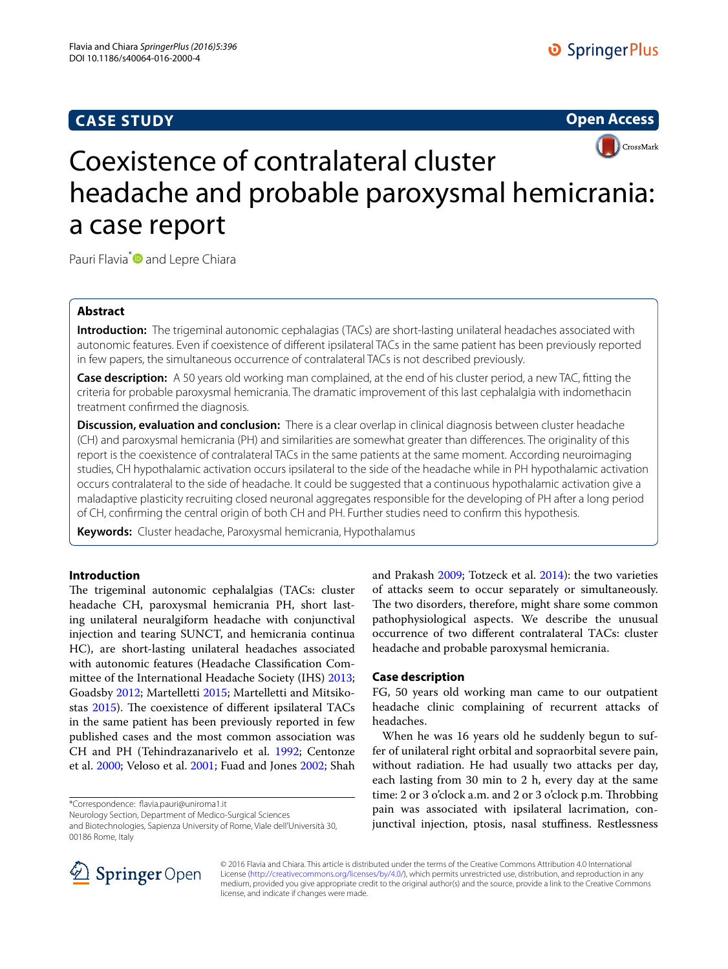# **CASE STUDY**



# CrossMark Coexistence of contralateral cluster headache and probable paroxysmal hemicrania: a case report

Pauri Flavia<sup>\*</sup> and Lepre Chiara

# **Abstract**

**Introduction:** The trigeminal autonomic cephalagias (TACs) are short-lasting unilateral headaches associated with autonomic features. Even if coexistence of different ipsilateral TACs in the same patient has been previously reported in few papers, the simultaneous occurrence of contralateral TACs is not described previously.

**Case description:** A 50 years old working man complained, at the end of his cluster period, a new TAC, fitting the criteria for probable paroxysmal hemicrania. The dramatic improvement of this last cephalalgia with indomethacin treatment confirmed the diagnosis.

**Discussion, evaluation and conclusion:** There is a clear overlap in clinical diagnosis between cluster headache (CH) and paroxysmal hemicrania (PH) and similarities are somewhat greater than differences. The originality of this report is the coexistence of contralateral TACs in the same patients at the same moment. According neuroimaging studies, CH hypothalamic activation occurs ipsilateral to the side of the headache while in PH hypothalamic activation occurs contralateral to the side of headache. It could be suggested that a continuous hypothalamic activation give a maladaptive plasticity recruiting closed neuronal aggregates responsible for the developing of PH after a long period of CH, confirming the central origin of both CH and PH. Further studies need to confirm this hypothesis.

**Keywords:** Cluster headache, Paroxysmal hemicrania, Hypothalamus

## **Introduction**

The trigeminal autonomic cephalalgias (TACs: cluster headache CH, paroxysmal hemicrania PH, short lasting unilateral neuralgiform headache with conjunctival injection and tearing SUNCT, and hemicrania continua HC), are short-lasting unilateral headaches associated with autonomic features (Headache Classification Committee of the International Headache Society (IHS) [2013](#page-2-0); Goadsby [2012;](#page-2-1) Martelletti [2015](#page-2-2); Martelletti and Mitsikostas [2015](#page-2-3)). The coexistence of different ipsilateral TACs in the same patient has been previously reported in few published cases and the most common association was CH and PH (Tehindrazanarivelo et al. [1992;](#page-2-4) Centonze et al. [2000;](#page-2-5) Veloso et al. [2001;](#page-2-6) Fuad and Jones [2002](#page-2-7); Shah

\*Correspondence: flavia.pauri@uniroma1.it

Neurology Section, Department of Medico-Surgical Sciences

and Biotechnologies, Sapienza University of Rome, Viale dell'Università 30, 00186 Rome, Italy

and Prakash [2009](#page-2-8); Totzeck et al. [2014](#page-2-9)): the two varieties of attacks seem to occur separately or simultaneously. The two disorders, therefore, might share some common pathophysiological aspects. We describe the unusual occurrence of two different contralateral TACs: cluster headache and probable paroxysmal hemicrania.

### **Case description**

FG, 50 years old working man came to our outpatient headache clinic complaining of recurrent attacks of headaches.

When he was 16 years old he suddenly begun to suffer of unilateral right orbital and sopraorbital severe pain, without radiation. He had usually two attacks per day, each lasting from 30 min to 2 h, every day at the same time: 2 or 3 o'clock a.m. and 2 or 3 o'clock p.m. Throbbing pain was associated with ipsilateral lacrimation, conjunctival injection, ptosis, nasal stuffiness. Restlessness



© 2016 Flavia and Chiara. This article is distributed under the terms of the Creative Commons Attribution 4.0 International License (<http://creativecommons.org/licenses/by/4.0/>), which permits unrestricted use, distribution, and reproduction in any medium, provided you give appropriate credit to the original author(s) and the source, provide a link to the Creative Commons license, and indicate if changes were made.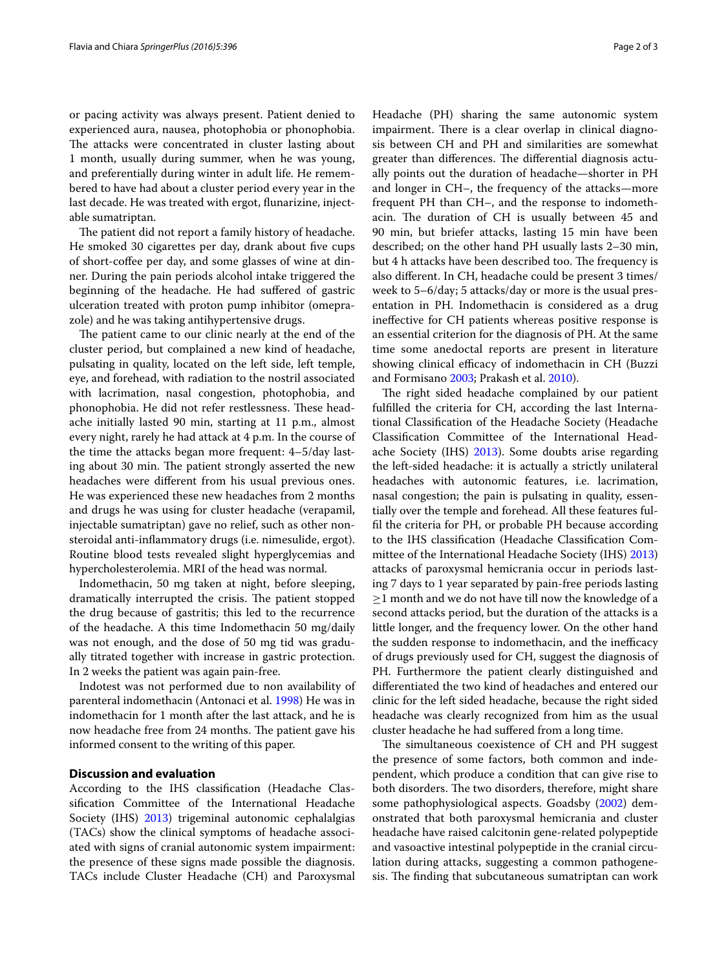or pacing activity was always present. Patient denied to experienced aura, nausea, photophobia or phonophobia. The attacks were concentrated in cluster lasting about 1 month, usually during summer, when he was young, and preferentially during winter in adult life. He remembered to have had about a cluster period every year in the last decade. He was treated with ergot, flunarizine, injectable sumatriptan.

The patient did not report a family history of headache. He smoked 30 cigarettes per day, drank about five cups of short-coffee per day, and some glasses of wine at dinner. During the pain periods alcohol intake triggered the beginning of the headache. He had suffered of gastric ulceration treated with proton pump inhibitor (omeprazole) and he was taking antihypertensive drugs.

The patient came to our clinic nearly at the end of the cluster period, but complained a new kind of headache, pulsating in quality, located on the left side, left temple, eye, and forehead, with radiation to the nostril associated with lacrimation, nasal congestion, photophobia, and phonophobia. He did not refer restlessness. These headache initially lasted 90 min, starting at 11 p.m., almost every night, rarely he had attack at 4 p.m. In the course of the time the attacks began more frequent: 4–5/day lasting about 30 min. The patient strongly asserted the new headaches were different from his usual previous ones. He was experienced these new headaches from 2 months and drugs he was using for cluster headache (verapamil, injectable sumatriptan) gave no relief, such as other nonsteroidal anti-inflammatory drugs (i.e. nimesulide, ergot). Routine blood tests revealed slight hyperglycemias and hypercholesterolemia. MRI of the head was normal.

Indomethacin, 50 mg taken at night, before sleeping, dramatically interrupted the crisis. The patient stopped the drug because of gastritis; this led to the recurrence of the headache. A this time Indomethacin 50 mg/daily was not enough, and the dose of 50 mg tid was gradually titrated together with increase in gastric protection. In 2 weeks the patient was again pain-free.

Indotest was not performed due to non availability of parenteral indomethacin (Antonaci et al. [1998\)](#page-2-10) He was in indomethacin for 1 month after the last attack, and he is now headache free from 24 months. The patient gave his informed consent to the writing of this paper.

## **Discussion and evaluation**

According to the IHS classification (Headache Classification Committee of the International Headache Society (IHS) [2013\)](#page-2-0) trigeminal autonomic cephalalgias (TACs) show the clinical symptoms of headache associated with signs of cranial autonomic system impairment: the presence of these signs made possible the diagnosis. TACs include Cluster Headache (CH) and Paroxysmal Headache (PH) sharing the same autonomic system impairment. There is a clear overlap in clinical diagnosis between CH and PH and similarities are somewhat greater than differences. The differential diagnosis actually points out the duration of headache—shorter in PH and longer in CH–, the frequency of the attacks—more frequent PH than CH–, and the response to indomethacin. The duration of CH is usually between 45 and 90 min, but briefer attacks, lasting 15 min have been described; on the other hand PH usually lasts 2–30 min, but 4 h attacks have been described too. The frequency is also different. In CH, headache could be present 3 times/ week to 5–6/day; 5 attacks/day or more is the usual presentation in PH. Indomethacin is considered as a drug ineffective for CH patients whereas positive response is an essential criterion for the diagnosis of PH. At the same time some anedoctal reports are present in literature showing clinical efficacy of indomethacin in CH (Buzzi

and Formisano [2003;](#page-2-11) Prakash et al. [2010](#page-2-12)). The right sided headache complained by our patient fulfilled the criteria for CH, according the last International Classification of the Headache Society (Headache Classification Committee of the International Headache Society (IHS) [2013](#page-2-0)). Some doubts arise regarding the left-sided headache: it is actually a strictly unilateral headaches with autonomic features, i.e. lacrimation, nasal congestion; the pain is pulsating in quality, essentially over the temple and forehead. All these features fulfil the criteria for PH, or probable PH because according to the IHS classification (Headache Classification Committee of the International Headache Society (IHS) [2013](#page-2-0)) attacks of paroxysmal hemicrania occur in periods lasting 7 days to 1 year separated by pain-free periods lasting  $\geq$ 1 month and we do not have till now the knowledge of a second attacks period, but the duration of the attacks is a little longer, and the frequency lower. On the other hand the sudden response to indomethacin, and the inefficacy of drugs previously used for CH, suggest the diagnosis of PH. Furthermore the patient clearly distinguished and differentiated the two kind of headaches and entered our clinic for the left sided headache, because the right sided headache was clearly recognized from him as the usual cluster headache he had suffered from a long time.

The simultaneous coexistence of CH and PH suggest the presence of some factors, both common and independent, which produce a condition that can give rise to both disorders. The two disorders, therefore, might share some pathophysiological aspects. Goadsby [\(2002\)](#page-2-13) demonstrated that both paroxysmal hemicrania and cluster headache have raised calcitonin gene-related polypeptide and vasoactive intestinal polypeptide in the cranial circulation during attacks, suggesting a common pathogenesis. The finding that subcutaneous sumatriptan can work